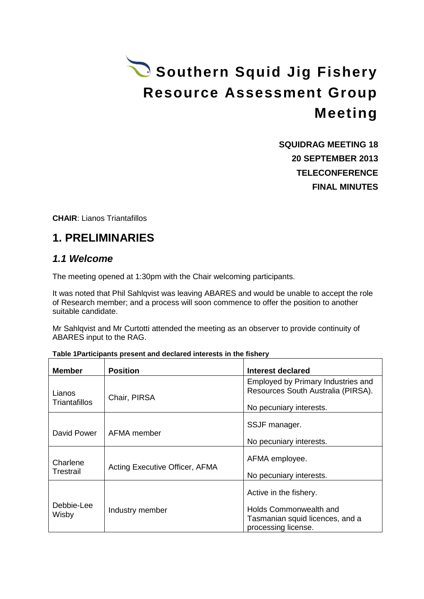# Southern Squid Jig Fishery **Resource Assessment Group Meeting**

**SQUIDRAG MEETING 18 20 SEPTEMBER 2013 TELECONFERENCE FINAL MINUTES**

**CHAIR**: Lianos Triantafillos

# **1. PRELIMINARIES**

## *1.1 Welcome*

The meeting opened at 1:30pm with the Chair welcoming participants.

It was noted that Phil Sahlqvist was leaving ABARES and would be unable to accept the role of Research member; and a process will soon commence to offer the position to another suitable candidate.

Mr Sahlqvist and Mr Curtotti attended the meeting as an observer to provide continuity of ABARES input to the RAG.

|  | Table 1 Participants present and declared interests in the fishery |  |
|--|--------------------------------------------------------------------|--|
|  |                                                                    |  |

| <b>Member</b>                  | <b>Position</b>                | Interest declared                                                                                          |
|--------------------------------|--------------------------------|------------------------------------------------------------------------------------------------------------|
| Lianos<br><b>Triantafillos</b> | Chair, PIRSA                   | Employed by Primary Industries and<br>Resources South Australia (PIRSA).<br>No pecuniary interests.        |
| David Power                    | AFMA member                    | SSJF manager.<br>No pecuniary interests.                                                                   |
| Charlene<br>Trestrail          | Acting Executive Officer, AFMA | AFMA employee.<br>No pecuniary interests.                                                                  |
| Debbie-Lee<br>Wisby            | Industry member                | Active in the fishery.<br>Holds Commonwealth and<br>Tasmanian squid licences, and a<br>processing license. |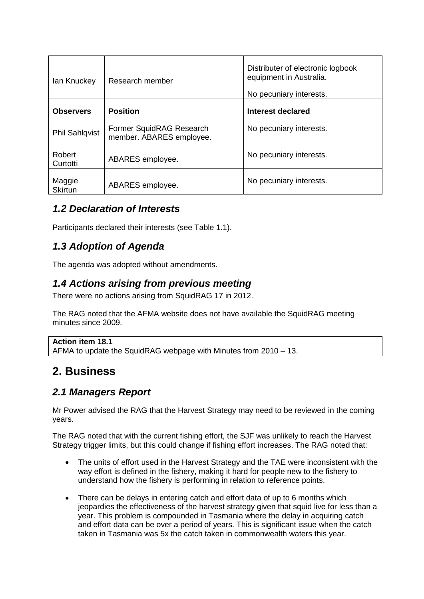| lan Knuckey              | Research member                                      | Distributer of electronic logbook<br>equipment in Australia.<br>No pecuniary interests. |  |
|--------------------------|------------------------------------------------------|-----------------------------------------------------------------------------------------|--|
| <b>Observers</b>         | <b>Position</b>                                      | <b>Interest declared</b>                                                                |  |
| <b>Phil Sahlqvist</b>    | Former SquidRAG Research<br>member. ABARES employee. | No pecuniary interests.                                                                 |  |
| Robert<br>Curtotti       | ABARES employee.                                     | No pecuniary interests.                                                                 |  |
| Maggie<br><b>Skirtun</b> | ABARES employee.                                     | No pecuniary interests.                                                                 |  |

## *1.2 Declaration of Interests*

Participants declared their interests (see Table 1.1).

## *1.3 Adoption of Agenda*

The agenda was adopted without amendments.

## *1.4 Actions arising from previous meeting*

There were no actions arising from SquidRAG 17 in 2012.

The RAG noted that the AFMA website does not have available the SquidRAG meeting minutes since 2009.

**Action item 18.1** AFMA to update the SquidRAG webpage with Minutes from 2010 – 13.

# **2. Business**

## *2.1 Managers Report*

Mr Power advised the RAG that the Harvest Strategy may need to be reviewed in the coming years.

The RAG noted that with the current fishing effort, the SJF was unlikely to reach the Harvest Strategy trigger limits, but this could change if fishing effort increases. The RAG noted that:

- The units of effort used in the Harvest Strategy and the TAE were inconsistent with the way effort is defined in the fishery, making it hard for people new to the fishery to understand how the fishery is performing in relation to reference points.
- There can be delays in entering catch and effort data of up to 6 months which jeopardies the effectiveness of the harvest strategy given that squid live for less than a year. This problem is compounded in Tasmania where the delay in acquiring catch and effort data can be over a period of years. This is significant issue when the catch taken in Tasmania was 5x the catch taken in commonwealth waters this year.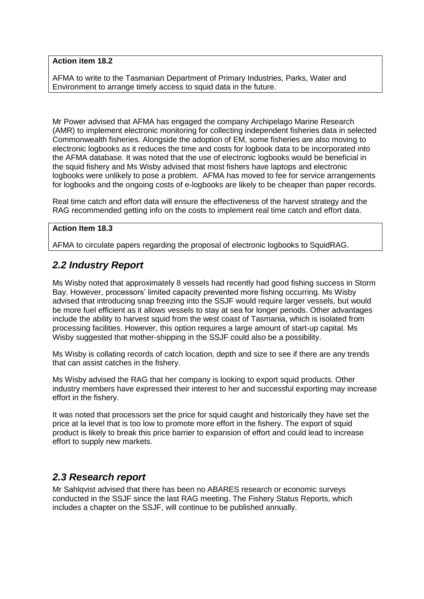#### **Action item 18.2**

AFMA to write to the Tasmanian Department of Primary Industries, Parks, Water and Environment to arrange timely access to squid data in the future.

Mr Power advised that AFMA has engaged the company Archipelago Marine Research (AMR) to implement electronic monitoring for collecting independent fisheries data in selected Commonwealth fisheries. Alongside the adoption of EM, some fisheries are also moving to electronic logbooks as it reduces the time and costs for logbook data to be incorporated into the AFMA database. It was noted that the use of electronic logbooks would be beneficial in the squid fishery and Ms Wisby advised that most fishers have laptops and electronic logbooks were unlikely to pose a problem. AFMA has moved to fee for service arrangements for logbooks and the ongoing costs of e-logbooks are likely to be cheaper than paper records.

Real time catch and effort data will ensure the effectiveness of the harvest strategy and the RAG recommended getting info on the costs to implement real time catch and effort data.

#### **Action Item 18.3**

AFMA to circulate papers regarding the proposal of electronic logbooks to SquidRAG.

## *2.2 Industry Report*

Ms Wisby noted that approximately 8 vessels had recently had good fishing success in Storm Bay. However, processors' limited capacity prevented more fishing occurring. Ms Wisby advised that introducing snap freezing into the SSJF would require larger vessels, but would be more fuel efficient as it allows vessels to stay at sea for longer periods. Other advantages include the ability to harvest squid from the west coast of Tasmania, which is isolated from processing facilities. However, this option requires a large amount of start-up capital. Ms Wisby suggested that mother-shipping in the SSJF could also be a possibility.

Ms Wisby is collating records of catch location, depth and size to see if there are any trends that can assist catches in the fishery.

Ms Wisby advised the RAG that her company is looking to export squid products. Other industry members have expressed their interest to her and successful exporting may increase effort in the fishery.

It was noted that processors set the price for squid caught and historically they have set the price at la level that is too low to promote more effort in the fishery. The export of squid product is likely to break this price barrier to expansion of effort and could lead to increase effort to supply new markets.

### *2.3 Research report*

Mr Sahlqvist advised that there has been no ABARES research or economic surveys conducted in the SSJF since the last RAG meeting. The Fishery Status Reports, which includes a chapter on the SSJF, will continue to be published annually.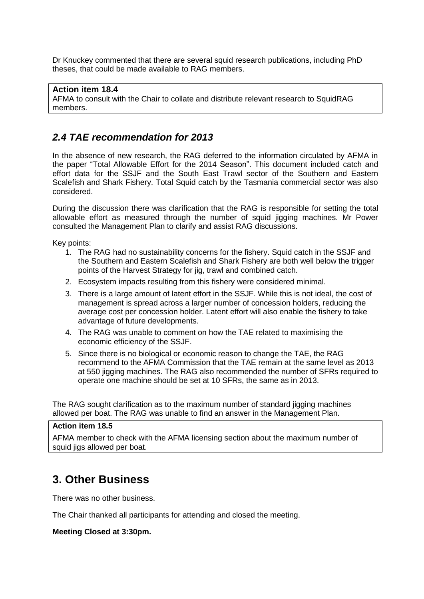Dr Knuckey commented that there are several squid research publications, including PhD theses, that could be made available to RAG members.

#### **Action item 18.4** AFMA to consult with the Chair to collate and distribute relevant research to SquidRAG members.

## *2.4 TAE recommendation for 2013*

In the absence of new research, the RAG deferred to the information circulated by AFMA in the paper "Total Allowable Effort for the 2014 Season". This document included catch and effort data for the SSJF and the South East Trawl sector of the Southern and Eastern Scalefish and Shark Fishery. Total Squid catch by the Tasmania commercial sector was also considered.

During the discussion there was clarification that the RAG is responsible for setting the total allowable effort as measured through the number of squid jigging machines. Mr Power consulted the Management Plan to clarify and assist RAG discussions.

Key points:

- 1. The RAG had no sustainability concerns for the fishery. Squid catch in the SSJF and the Southern and Eastern Scalefish and Shark Fishery are both well below the trigger points of the Harvest Strategy for jig, trawl and combined catch.
- 2. Ecosystem impacts resulting from this fishery were considered minimal.
- 3. There is a large amount of latent effort in the SSJF. While this is not ideal, the cost of management is spread across a larger number of concession holders, reducing the average cost per concession holder. Latent effort will also enable the fishery to take advantage of future developments.
- 4. The RAG was unable to comment on how the TAE related to maximising the economic efficiency of the SSJF.
- 5. Since there is no biological or economic reason to change the TAE, the RAG recommend to the AFMA Commission that the TAE remain at the same level as 2013 at 550 jigging machines. The RAG also recommended the number of SFRs required to operate one machine should be set at 10 SFRs, the same as in 2013.

The RAG sought clarification as to the maximum number of standard jigging machines allowed per boat. The RAG was unable to find an answer in the Management Plan.

#### **Action item 18.5**

AFMA member to check with the AFMA licensing section about the maximum number of squid jigs allowed per boat.

# **3. Other Business**

There was no other business.

The Chair thanked all participants for attending and closed the meeting.

#### **Meeting Closed at 3:30pm.**